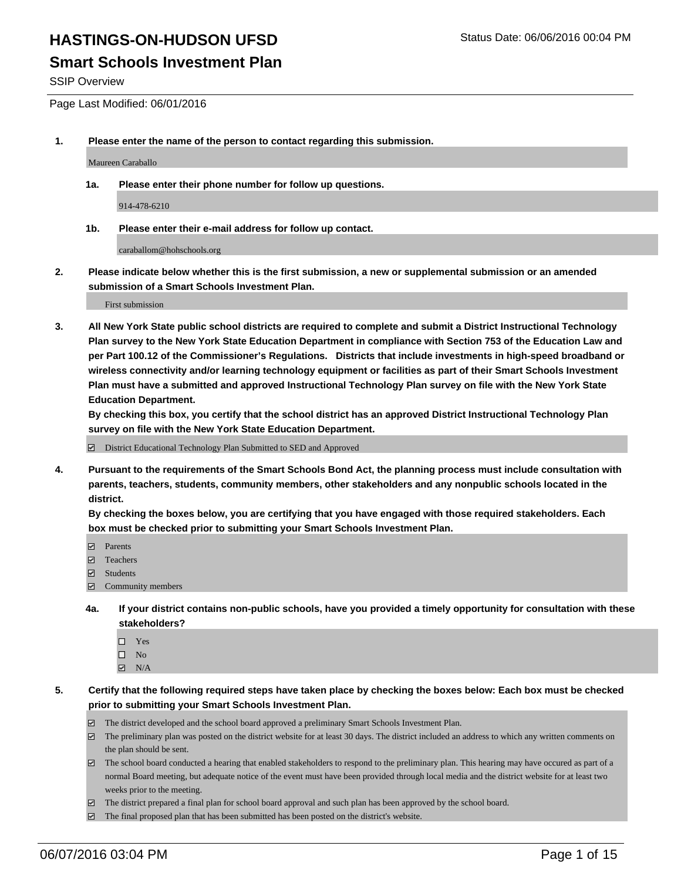### **Smart Schools Investment Plan**

SSIP Overview

Page Last Modified: 06/01/2016

**1. Please enter the name of the person to contact regarding this submission.**

Maureen Caraballo

**1a. Please enter their phone number for follow up questions.**

914-478-6210

**1b. Please enter their e-mail address for follow up contact.**

caraballom@hohschools.org

**2. Please indicate below whether this is the first submission, a new or supplemental submission or an amended submission of a Smart Schools Investment Plan.**

First submission

**3. All New York State public school districts are required to complete and submit a District Instructional Technology Plan survey to the New York State Education Department in compliance with Section 753 of the Education Law and per Part 100.12 of the Commissioner's Regulations. Districts that include investments in high-speed broadband or wireless connectivity and/or learning technology equipment or facilities as part of their Smart Schools Investment Plan must have a submitted and approved Instructional Technology Plan survey on file with the New York State Education Department.** 

**By checking this box, you certify that the school district has an approved District Instructional Technology Plan survey on file with the New York State Education Department.**

District Educational Technology Plan Submitted to SED and Approved

**4. Pursuant to the requirements of the Smart Schools Bond Act, the planning process must include consultation with parents, teachers, students, community members, other stakeholders and any nonpublic schools located in the district.** 

**By checking the boxes below, you are certifying that you have engaged with those required stakeholders. Each box must be checked prior to submitting your Smart Schools Investment Plan.**

- **Parents**
- Teachers
- $\blacksquare$  Students
- Community members
- **4a. If your district contains non-public schools, have you provided a timely opportunity for consultation with these stakeholders?**
	- $\Box$  Yes  $\square$  No
	- $\boxtimes$  N/A
- **5. Certify that the following required steps have taken place by checking the boxes below: Each box must be checked prior to submitting your Smart Schools Investment Plan.**
	- The district developed and the school board approved a preliminary Smart Schools Investment Plan.
	- $\Box$  The preliminary plan was posted on the district website for at least 30 days. The district included an address to which any written comments on the plan should be sent.
	- $\Box$  The school board conducted a hearing that enabled stakeholders to respond to the preliminary plan. This hearing may have occured as part of a normal Board meeting, but adequate notice of the event must have been provided through local media and the district website for at least two weeks prior to the meeting.
	- The district prepared a final plan for school board approval and such plan has been approved by the school board.
	- $\boxdot$  The final proposed plan that has been submitted has been posted on the district's website.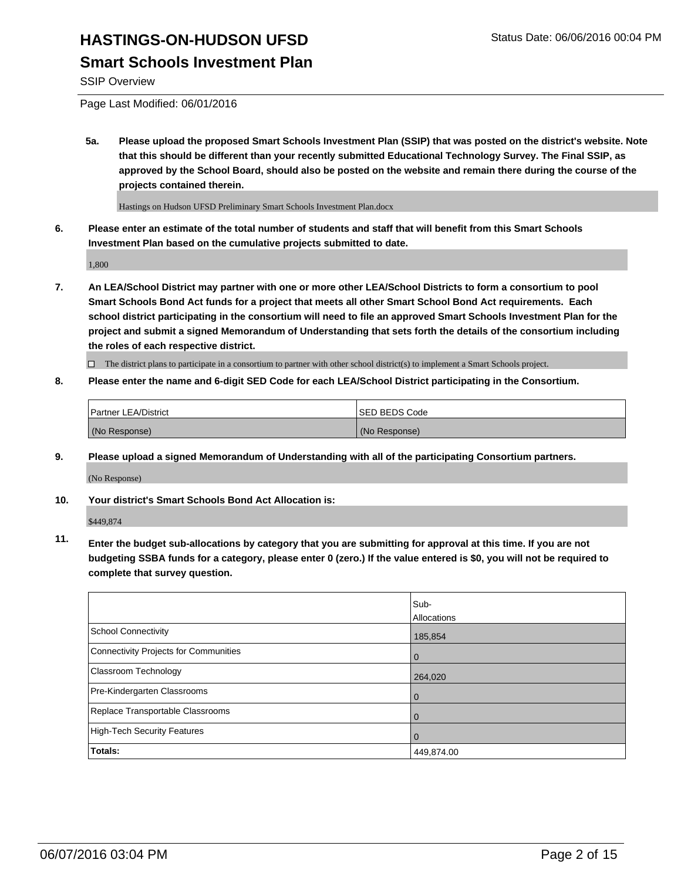# **HASTINGS-ON-HUDSON UFSD** Status Date: 06/06/2016 00:04 PM **Smart Schools Investment Plan**

#### SSIP Overview

Page Last Modified: 06/01/2016

**5a. Please upload the proposed Smart Schools Investment Plan (SSIP) that was posted on the district's website. Note that this should be different than your recently submitted Educational Technology Survey. The Final SSIP, as approved by the School Board, should also be posted on the website and remain there during the course of the projects contained therein.**

Hastings on Hudson UFSD Preliminary Smart Schools Investment Plan.docx

**6. Please enter an estimate of the total number of students and staff that will benefit from this Smart Schools Investment Plan based on the cumulative projects submitted to date.**

1,800

**7. An LEA/School District may partner with one or more other LEA/School Districts to form a consortium to pool Smart Schools Bond Act funds for a project that meets all other Smart School Bond Act requirements. Each school district participating in the consortium will need to file an approved Smart Schools Investment Plan for the project and submit a signed Memorandum of Understanding that sets forth the details of the consortium including the roles of each respective district.**

 $\Box$  The district plans to participate in a consortium to partner with other school district(s) to implement a Smart Schools project.

#### **8. Please enter the name and 6-digit SED Code for each LEA/School District participating in the Consortium.**

| <b>Partner LEA/District</b> | ISED BEDS Code |
|-----------------------------|----------------|
| (No Response)               | (No Response)  |

**9. Please upload a signed Memorandum of Understanding with all of the participating Consortium partners.**

(No Response)

**10. Your district's Smart Schools Bond Act Allocation is:**

\$449,874

**11. Enter the budget sub-allocations by category that you are submitting for approval at this time. If you are not budgeting SSBA funds for a category, please enter 0 (zero.) If the value entered is \$0, you will not be required to complete that survey question.**

|                                       | Sub-        |
|---------------------------------------|-------------|
|                                       | Allocations |
| School Connectivity                   | 185,854     |
| Connectivity Projects for Communities | $\Omega$    |
| <b>Classroom Technology</b>           | 264,020     |
| Pre-Kindergarten Classrooms           | 0           |
| Replace Transportable Classrooms      | 0           |
| High-Tech Security Features           |             |
| Totals:                               | 449,874.00  |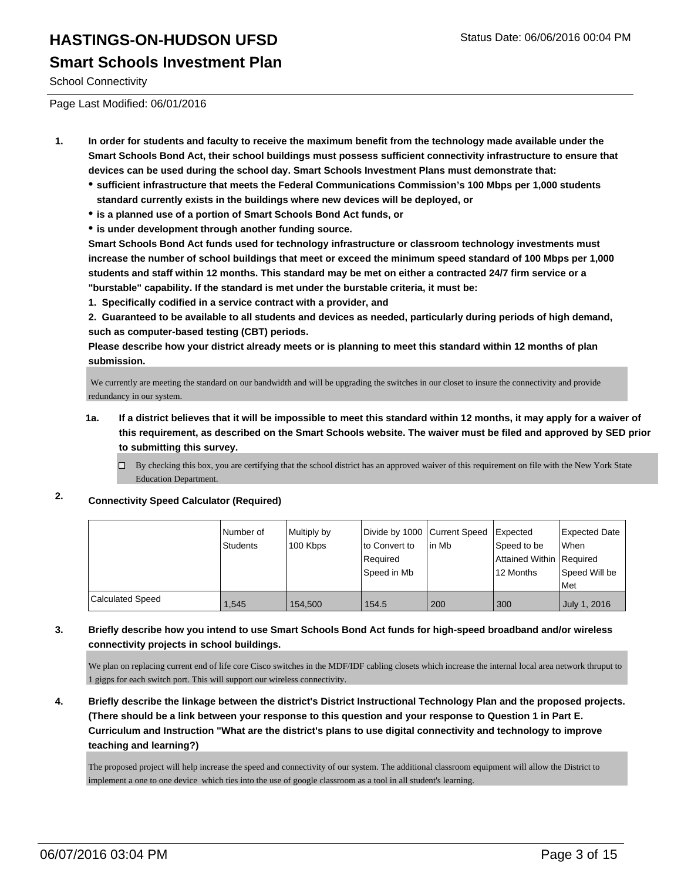### **Smart Schools Investment Plan**

School Connectivity

Page Last Modified: 06/01/2016

- **1. In order for students and faculty to receive the maximum benefit from the technology made available under the Smart Schools Bond Act, their school buildings must possess sufficient connectivity infrastructure to ensure that devices can be used during the school day. Smart Schools Investment Plans must demonstrate that:**
	- **sufficient infrastructure that meets the Federal Communications Commission's 100 Mbps per 1,000 students standard currently exists in the buildings where new devices will be deployed, or**
	- **is a planned use of a portion of Smart Schools Bond Act funds, or**
	- **is under development through another funding source.**

**Smart Schools Bond Act funds used for technology infrastructure or classroom technology investments must increase the number of school buildings that meet or exceed the minimum speed standard of 100 Mbps per 1,000 students and staff within 12 months. This standard may be met on either a contracted 24/7 firm service or a "burstable" capability. If the standard is met under the burstable criteria, it must be:**

**1. Specifically codified in a service contract with a provider, and**

**2. Guaranteed to be available to all students and devices as needed, particularly during periods of high demand, such as computer-based testing (CBT) periods.**

**Please describe how your district already meets or is planning to meet this standard within 12 months of plan submission.**

 We currently are meeting the standard on our bandwidth and will be upgrading the switches in our closet to insure the connectivity and provide redundancy in our system.

- **1a. If a district believes that it will be impossible to meet this standard within 12 months, it may apply for a waiver of this requirement, as described on the Smart Schools website. The waiver must be filed and approved by SED prior to submitting this survey.**
	- $\Box$  By checking this box, you are certifying that the school district has an approved waiver of this requirement on file with the New York State Education Department.
- **2. Connectivity Speed Calculator (Required)**

|                  | l Number of<br>Students | Multiply by<br>100 Kbps | Divide by 1000 Current Speed<br>lto Convert to<br>Reauired<br>Speed in Mb | lin Mb | Expected<br>Speed to be<br>Attained Within   Required<br>12 Months | <b>Expected Date</b><br><b>When</b><br>Speed Will be<br><b>Met</b> |
|------------------|-------------------------|-------------------------|---------------------------------------------------------------------------|--------|--------------------------------------------------------------------|--------------------------------------------------------------------|
| Calculated Speed | 1.545                   | 154,500                 | 154.5                                                                     | 200    | 300                                                                | July 1, 2016                                                       |

#### **3. Briefly describe how you intend to use Smart Schools Bond Act funds for high-speed broadband and/or wireless connectivity projects in school buildings.**

We plan on replacing current end of life core Cisco switches in the MDF/IDF cabling closets which increase the internal local area network thruput to 1 gigps for each switch port. This will support our wireless connectivity.

**4. Briefly describe the linkage between the district's District Instructional Technology Plan and the proposed projects. (There should be a link between your response to this question and your response to Question 1 in Part E. Curriculum and Instruction "What are the district's plans to use digital connectivity and technology to improve teaching and learning?)**

The proposed project will help increase the speed and connectivity of our system. The additional classroom equipment will allow the District to implement a one to one device which ties into the use of google classroom as a tool in all student's learning.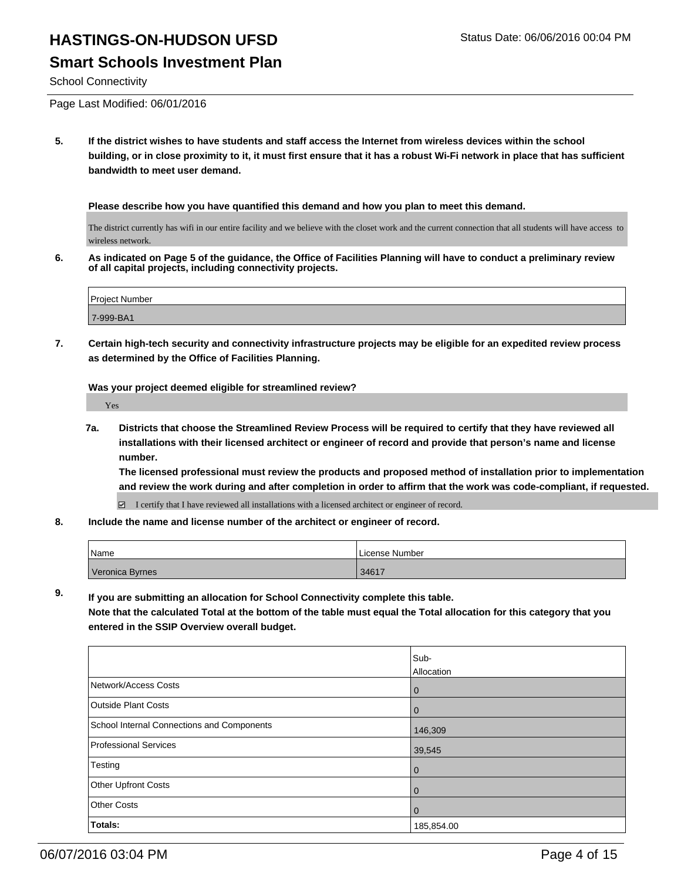#### **Smart Schools Investment Plan**

School Connectivity

Page Last Modified: 06/01/2016

**5. If the district wishes to have students and staff access the Internet from wireless devices within the school building, or in close proximity to it, it must first ensure that it has a robust Wi-Fi network in place that has sufficient bandwidth to meet user demand.**

**Please describe how you have quantified this demand and how you plan to meet this demand.**

The district currently has wifi in our entire facility and we believe with the closet work and the current connection that all students will have access to wireless network.

**6. As indicated on Page 5 of the guidance, the Office of Facilities Planning will have to conduct a preliminary review of all capital projects, including connectivity projects.**

| Proiect Number |  |
|----------------|--|
| 7-999-BA1      |  |

**7. Certain high-tech security and connectivity infrastructure projects may be eligible for an expedited review process as determined by the Office of Facilities Planning.**

**Was your project deemed eligible for streamlined review?**

Yes

**7a. Districts that choose the Streamlined Review Process will be required to certify that they have reviewed all installations with their licensed architect or engineer of record and provide that person's name and license number.**

**The licensed professional must review the products and proposed method of installation prior to implementation and review the work during and after completion in order to affirm that the work was code-compliant, if requested.**

 $\boxtimes$  I certify that I have reviewed all installations with a licensed architect or engineer of record.

**8. Include the name and license number of the architect or engineer of record.**

| Name            | License Number |
|-----------------|----------------|
| Veronica Byrnes | 34617          |

**9. If you are submitting an allocation for School Connectivity complete this table.**

**Note that the calculated Total at the bottom of the table must equal the Total allocation for this category that you entered in the SSIP Overview overall budget.** 

|                                            | Sub-           |
|--------------------------------------------|----------------|
|                                            | Allocation     |
| Network/Access Costs                       | $\mathbf 0$    |
| <b>Outside Plant Costs</b>                 | $\overline{0}$ |
| School Internal Connections and Components | 146,309        |
| Professional Services                      | 39,545         |
| Testing                                    | $\mathbf 0$    |
| <b>Other Upfront Costs</b>                 | $\mathbf 0$    |
| Other Costs                                | $\overline{0}$ |
| Totals:                                    | 185,854.00     |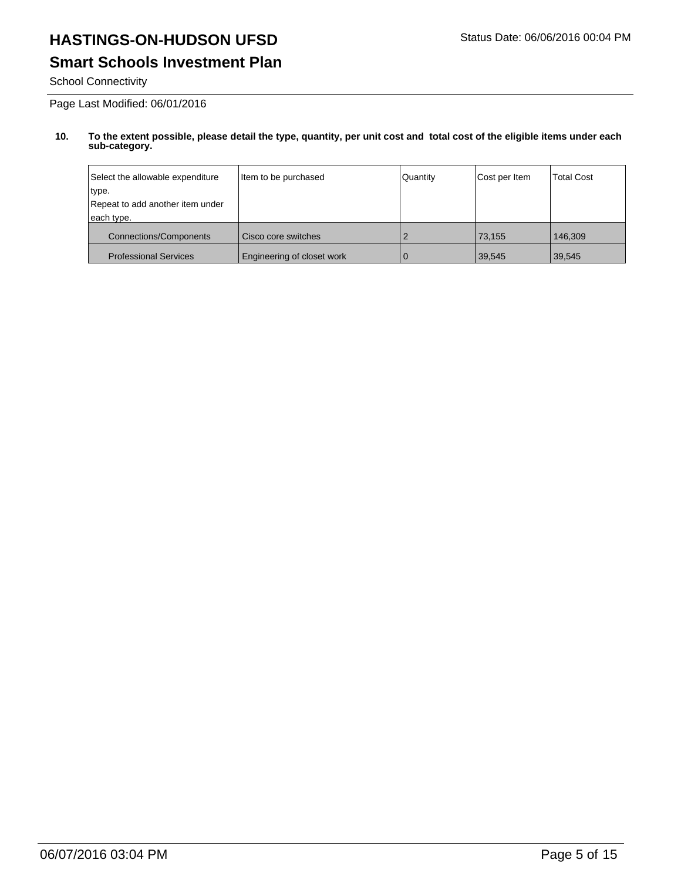# **Smart Schools Investment Plan**

School Connectivity

Page Last Modified: 06/01/2016

| Select the allowable expenditure | Item to be purchased       | Quantity | Cost per Item | <b>Total Cost</b> |
|----------------------------------|----------------------------|----------|---------------|-------------------|
| ∣type.                           |                            |          |               |                   |
| Repeat to add another item under |                            |          |               |                   |
| each type.                       |                            |          |               |                   |
| <b>Connections/Components</b>    | Cisco core switches        |          | 73.155        | 146.309           |
| <b>Professional Services</b>     | Engineering of closet work |          | 39,545        | 39,545            |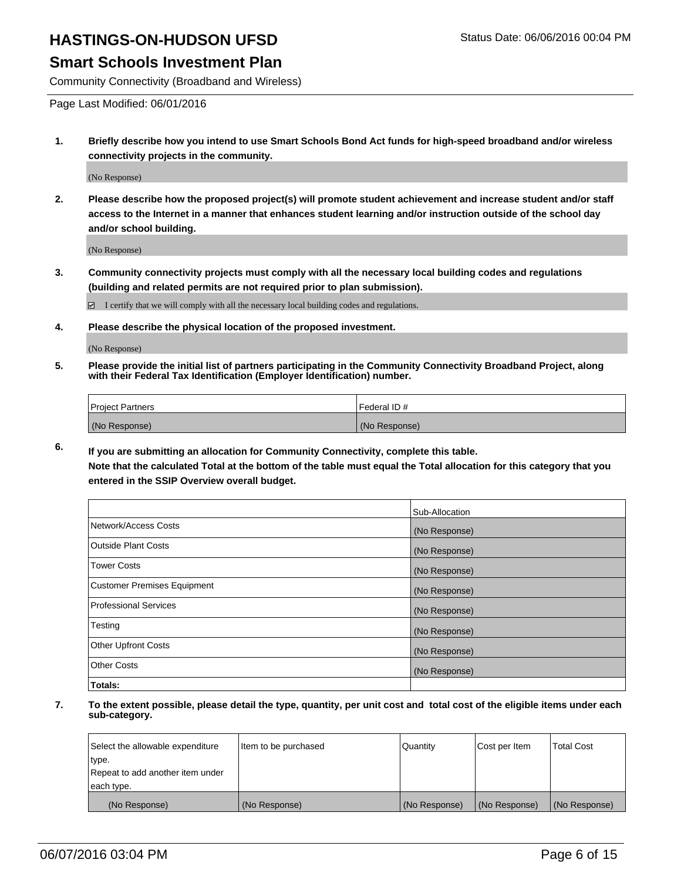#### **Smart Schools Investment Plan**

Community Connectivity (Broadband and Wireless)

Page Last Modified: 06/01/2016

**1. Briefly describe how you intend to use Smart Schools Bond Act funds for high-speed broadband and/or wireless connectivity projects in the community.**

(No Response)

**2. Please describe how the proposed project(s) will promote student achievement and increase student and/or staff access to the Internet in a manner that enhances student learning and/or instruction outside of the school day and/or school building.**

(No Response)

**3. Community connectivity projects must comply with all the necessary local building codes and regulations (building and related permits are not required prior to plan submission).**

 $\boxdot$  I certify that we will comply with all the necessary local building codes and regulations.

**4. Please describe the physical location of the proposed investment.**

(No Response)

**5. Please provide the initial list of partners participating in the Community Connectivity Broadband Project, along with their Federal Tax Identification (Employer Identification) number.**

| Project Partners | I Federal ID # |
|------------------|----------------|
| (No Response)    | (No Response)  |

**6. If you are submitting an allocation for Community Connectivity, complete this table.**

**Note that the calculated Total at the bottom of the table must equal the Total allocation for this category that you entered in the SSIP Overview overall budget.**

|                             | Sub-Allocation |
|-----------------------------|----------------|
| Network/Access Costs        | (No Response)  |
| Outside Plant Costs         | (No Response)  |
| <b>Tower Costs</b>          | (No Response)  |
| Customer Premises Equipment | (No Response)  |
| Professional Services       | (No Response)  |
| Testing                     | (No Response)  |
| Other Upfront Costs         | (No Response)  |
| Other Costs                 | (No Response)  |
| Totals:                     |                |

| Select the allowable expenditure | Item to be purchased | Quantity      | Cost per Item | <b>Total Cost</b> |
|----------------------------------|----------------------|---------------|---------------|-------------------|
| type.                            |                      |               |               |                   |
| Repeat to add another item under |                      |               |               |                   |
| each type.                       |                      |               |               |                   |
| (No Response)                    | (No Response)        | (No Response) | (No Response) | (No Response)     |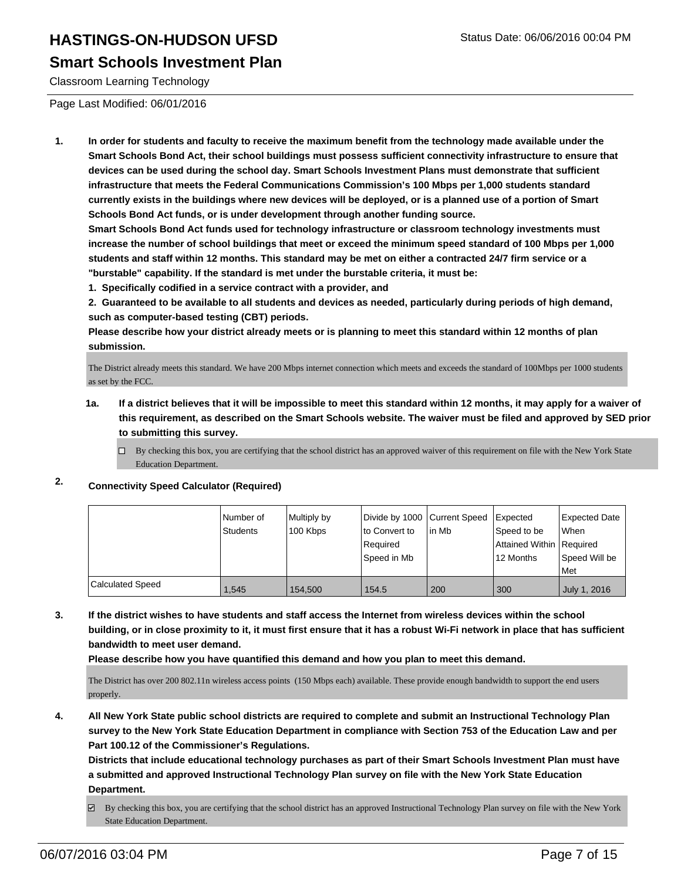#### **Smart Schools Investment Plan**

Classroom Learning Technology

Page Last Modified: 06/01/2016

**1. In order for students and faculty to receive the maximum benefit from the technology made available under the Smart Schools Bond Act, their school buildings must possess sufficient connectivity infrastructure to ensure that devices can be used during the school day. Smart Schools Investment Plans must demonstrate that sufficient infrastructure that meets the Federal Communications Commission's 100 Mbps per 1,000 students standard currently exists in the buildings where new devices will be deployed, or is a planned use of a portion of Smart Schools Bond Act funds, or is under development through another funding source.**

**Smart Schools Bond Act funds used for technology infrastructure or classroom technology investments must increase the number of school buildings that meet or exceed the minimum speed standard of 100 Mbps per 1,000 students and staff within 12 months. This standard may be met on either a contracted 24/7 firm service or a "burstable" capability. If the standard is met under the burstable criteria, it must be:**

**1. Specifically codified in a service contract with a provider, and**

**2. Guaranteed to be available to all students and devices as needed, particularly during periods of high demand, such as computer-based testing (CBT) periods.**

**Please describe how your district already meets or is planning to meet this standard within 12 months of plan submission.**

The District already meets this standard. We have 200 Mbps internet connection which meets and exceeds the standard of 100Mbps per 1000 students as set by the FCC.

- **1a. If a district believes that it will be impossible to meet this standard within 12 months, it may apply for a waiver of this requirement, as described on the Smart Schools website. The waiver must be filed and approved by SED prior to submitting this survey.**
	- $\Box$  By checking this box, you are certifying that the school district has an approved waiver of this requirement on file with the New York State Education Department.

#### **2. Connectivity Speed Calculator (Required)**

|                         | Number of<br>Students | Multiply by<br>100 Kbps | Divide by 1000 Current Speed<br>Ito Convert to<br>Required<br> Speed in Mb | lin Mb | <b>I</b> Expected<br>Speed to be<br>Attained Within Required<br>12 Months | <b>Expected Date</b><br><b>When</b><br>Speed Will be |
|-------------------------|-----------------------|-------------------------|----------------------------------------------------------------------------|--------|---------------------------------------------------------------------------|------------------------------------------------------|
|                         |                       |                         |                                                                            |        |                                                                           | l Met                                                |
| <b>Calculated Speed</b> | 1.545                 | 154,500                 | 154.5                                                                      | 200    | 300                                                                       | July 1, 2016                                         |

**3. If the district wishes to have students and staff access the Internet from wireless devices within the school building, or in close proximity to it, it must first ensure that it has a robust Wi-Fi network in place that has sufficient bandwidth to meet user demand.**

**Please describe how you have quantified this demand and how you plan to meet this demand.**

The District has over 200 802.11n wireless access points (150 Mbps each) available. These provide enough bandwidth to support the end users properly.

**4. All New York State public school districts are required to complete and submit an Instructional Technology Plan survey to the New York State Education Department in compliance with Section 753 of the Education Law and per Part 100.12 of the Commissioner's Regulations.**

**Districts that include educational technology purchases as part of their Smart Schools Investment Plan must have a submitted and approved Instructional Technology Plan survey on file with the New York State Education Department.**

By checking this box, you are certifying that the school district has an approved Instructional Technology Plan survey on file with the New York State Education Department.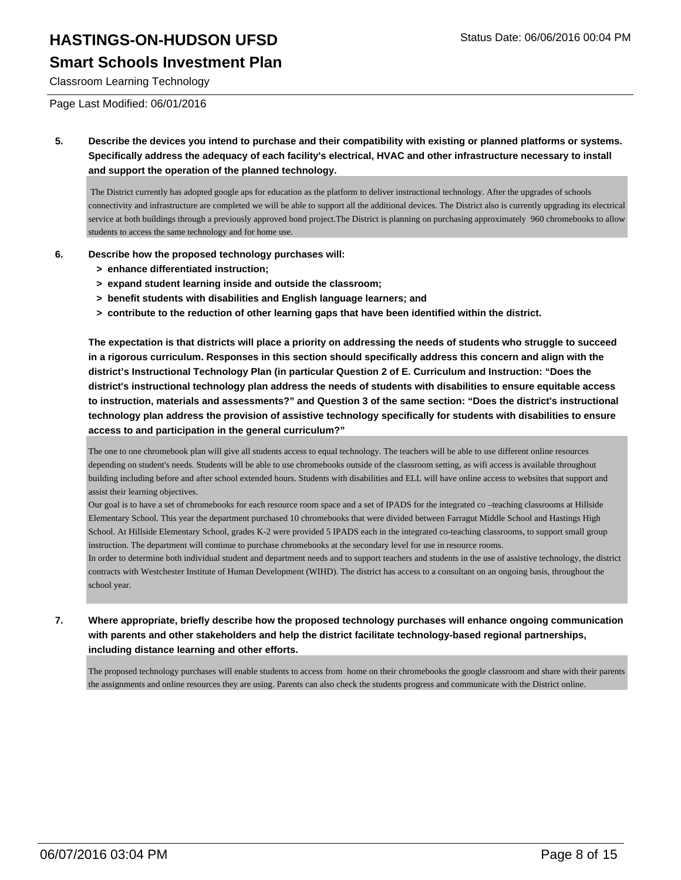### **Smart Schools Investment Plan**

Classroom Learning Technology

Page Last Modified: 06/01/2016

**5. Describe the devices you intend to purchase and their compatibility with existing or planned platforms or systems. Specifically address the adequacy of each facility's electrical, HVAC and other infrastructure necessary to install and support the operation of the planned technology.**

 The District currently has adopted google aps for education as the platform to deliver instructional technology. After the upgrades of schools connectivity and infrastructure are completed we will be able to support all the additional devices. The District also is currently upgrading its electrical service at both buildings through a previously approved bond project.The District is planning on purchasing approximately 960 chromebooks to allow students to access the same technology and for home use.

- **6. Describe how the proposed technology purchases will:**
	- **> enhance differentiated instruction;**
	- **> expand student learning inside and outside the classroom;**
	- **> benefit students with disabilities and English language learners; and**
	- **> contribute to the reduction of other learning gaps that have been identified within the district.**

**The expectation is that districts will place a priority on addressing the needs of students who struggle to succeed in a rigorous curriculum. Responses in this section should specifically address this concern and align with the district's Instructional Technology Plan (in particular Question 2 of E. Curriculum and Instruction: "Does the district's instructional technology plan address the needs of students with disabilities to ensure equitable access to instruction, materials and assessments?" and Question 3 of the same section: "Does the district's instructional technology plan address the provision of assistive technology specifically for students with disabilities to ensure access to and participation in the general curriculum?"**

The one to one chromebook plan will give all students access to equal technology. The teachers will be able to use different online resources depending on student's needs. Students will be able to use chromebooks outside of the classroom setting, as wifi access is available throughout building including before and after school extended hours. Students with disabilities and ELL will have online access to websites that support and assist their learning objectives.

Our goal is to have a set of chromebooks for each resource room space and a set of IPADS for the integrated co –teaching classrooms at Hillside Elementary School. This year the department purchased 10 chromebooks that were divided between Farragut Middle School and Hastings High School. At Hillside Elementary School, grades K-2 were provided 5 IPADS each in the integrated co-teaching classrooms, to support small group instruction. The department will continue to purchase chromebooks at the secondary level for use in resource rooms.

In order to determine both individual student and department needs and to support teachers and students in the use of assistive technology, the district contracts with Westchester Institute of Human Development (WIHD). The district has access to a consultant on an ongoing basis, throughout the school year.

**7. Where appropriate, briefly describe how the proposed technology purchases will enhance ongoing communication with parents and other stakeholders and help the district facilitate technology-based regional partnerships, including distance learning and other efforts.**

The proposed technology purchases will enable students to access from home on their chromebooks the google classroom and share with their parents the assignments and online resources they are using. Parents can also check the students progress and communicate with the District online.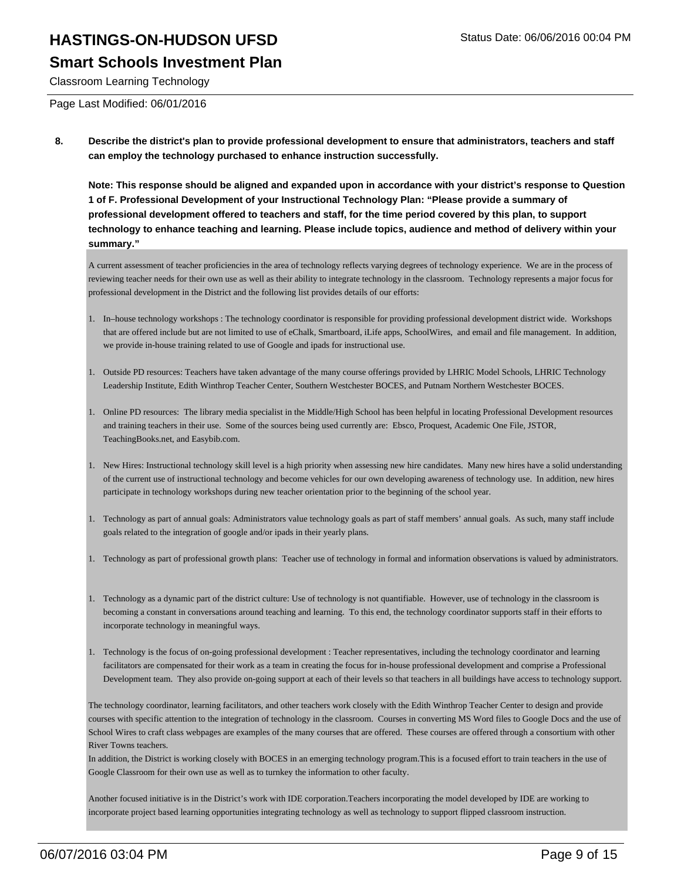#### **Smart Schools Investment Plan**

Classroom Learning Technology

Page Last Modified: 06/01/2016

**8. Describe the district's plan to provide professional development to ensure that administrators, teachers and staff can employ the technology purchased to enhance instruction successfully.**

**Note: This response should be aligned and expanded upon in accordance with your district's response to Question 1 of F. Professional Development of your Instructional Technology Plan: "Please provide a summary of professional development offered to teachers and staff, for the time period covered by this plan, to support technology to enhance teaching and learning. Please include topics, audience and method of delivery within your summary."**

A current assessment of teacher proficiencies in the area of technology reflects varying degrees of technology experience. We are in the process of reviewing teacher needs for their own use as well as their ability to integrate technology in the classroom. Technology represents a major focus for professional development in the District and the following list provides details of our efforts:

- In–house technology workshops : The technology coordinator is responsible for providing professional development district wide. Workshops 1. that are offered include but are not limited to use of eChalk, Smartboard, iLife apps, SchoolWires, and email and file management. In addition, we provide in-house training related to use of Google and ipads for instructional use.
- 1. Outside PD resources: Teachers have taken advantage of the many course offerings provided by LHRIC Model Schools, LHRIC Technology Leadership Institute, Edith Winthrop Teacher Center, Southern Westchester BOCES, and Putnam Northern Westchester BOCES.
- 1. Online PD resources: The library media specialist in the Middle/High School has been helpful in locating Professional Development resources and training teachers in their use. Some of the sources being used currently are: Ebsco, Proquest, Academic One File, JSTOR, TeachingBooks.net, and Easybib.com.
- 1. New Hires: Instructional technology skill level is a high priority when assessing new hire candidates. Many new hires have a solid understanding of the current use of instructional technology and become vehicles for our own developing awareness of technology use. In addition, new hires participate in technology workshops during new teacher orientation prior to the beginning of the school year.
- 1. Technology as part of annual goals: Administrators value technology goals as part of staff members' annual goals. As such, many staff include goals related to the integration of google and/or ipads in their yearly plans.
- 1. Technology as part of professional growth plans: Teacher use of technology in formal and information observations is valued by administrators.
- 1. Technology as a dynamic part of the district culture: Use of technology is not quantifiable. However, use of technology in the classroom is becoming a constant in conversations around teaching and learning. To this end, the technology coordinator supports staff in their efforts to incorporate technology in meaningful ways.
- 1. Technology is the focus of on-going professional development : Teacher representatives, including the technology coordinator and learning facilitators are compensated for their work as a team in creating the focus for in-house professional development and comprise a Professional Development team. They also provide on-going support at each of their levels so that teachers in all buildings have access to technology support.

The technology coordinator, learning facilitators, and other teachers work closely with the Edith Winthrop Teacher Center to design and provide courses with specific attention to the integration of technology in the classroom. Courses in converting MS Word files to Google Docs and the use of School Wires to craft class webpages are examples of the many courses that are offered. These courses are offered through a consortium with other River Towns teachers.

In addition, the District is working closely with BOCES in an emerging technology program.This is a focused effort to train teachers in the use of Google Classroom for their own use as well as to turnkey the information to other faculty.

Another focused initiative is in the District's work with IDE corporation.Teachers incorporating the model developed by IDE are working to incorporate project based learning opportunities integrating technology as well as technology to support flipped classroom instruction.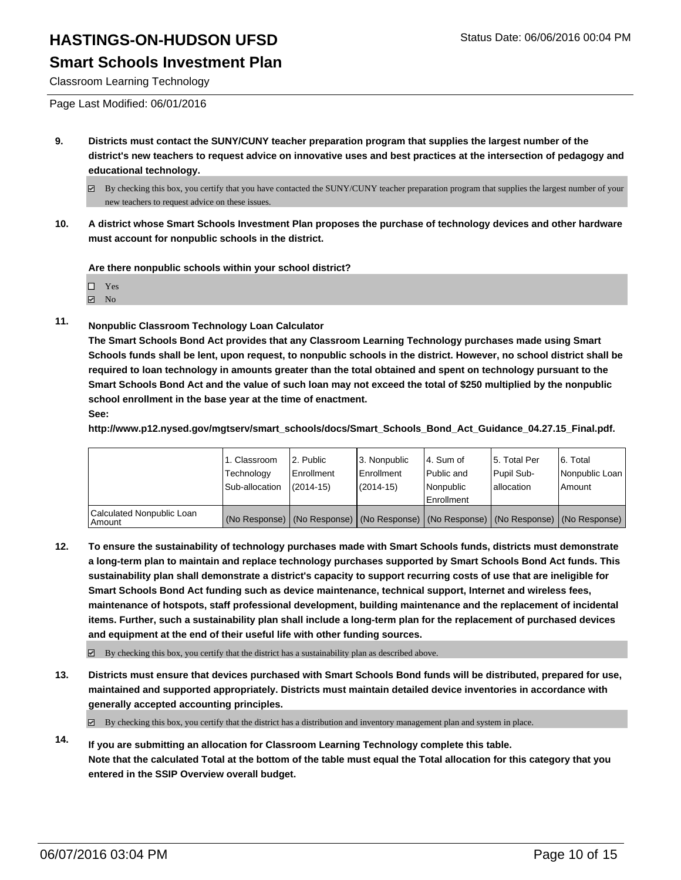### **Smart Schools Investment Plan**

Classroom Learning Technology

- **9. Districts must contact the SUNY/CUNY teacher preparation program that supplies the largest number of the district's new teachers to request advice on innovative uses and best practices at the intersection of pedagogy and educational technology.**
	- $\boxtimes$  By checking this box, you certify that you have contacted the SUNY/CUNY teacher preparation program that supplies the largest number of your new teachers to request advice on these issues.
- **10. A district whose Smart Schools Investment Plan proposes the purchase of technology devices and other hardware must account for nonpublic schools in the district.**

**Are there nonpublic schools within your school district?**

| $\Box$ Yes        |
|-------------------|
| $\blacksquare$ No |

**11. Nonpublic Classroom Technology Loan Calculator**

**The Smart Schools Bond Act provides that any Classroom Learning Technology purchases made using Smart Schools funds shall be lent, upon request, to nonpublic schools in the district. However, no school district shall be required to loan technology in amounts greater than the total obtained and spent on technology pursuant to the Smart Schools Bond Act and the value of such loan may not exceed the total of \$250 multiplied by the nonpublic school enrollment in the base year at the time of enactment.**

**See:**

**http://www.p12.nysed.gov/mgtserv/smart\_schools/docs/Smart\_Schools\_Bond\_Act\_Guidance\_04.27.15\_Final.pdf.**

|                                       | <sub>1</sub> . Classroom<br>Technology<br>Sub-allocation | 2. Public<br>Enrollment<br>$(2014 - 15)$ | 3. Nonpublic<br>Enrollment<br>(2014-15) | l 4. Sum of<br>Public and<br>Nonpublic<br>Enrollment                                          | 5. Total Per<br>Pupil Sub-<br>lallocation | 6. Total<br>Nonpublic Loan<br>Amount |
|---------------------------------------|----------------------------------------------------------|------------------------------------------|-----------------------------------------|-----------------------------------------------------------------------------------------------|-------------------------------------------|--------------------------------------|
| Calculated Nonpublic Loan<br>l Amount |                                                          |                                          |                                         | (No Response)   (No Response)   (No Response)   (No Response)   (No Response)   (No Response) |                                           |                                      |

**12. To ensure the sustainability of technology purchases made with Smart Schools funds, districts must demonstrate a long-term plan to maintain and replace technology purchases supported by Smart Schools Bond Act funds. This sustainability plan shall demonstrate a district's capacity to support recurring costs of use that are ineligible for Smart Schools Bond Act funding such as device maintenance, technical support, Internet and wireless fees, maintenance of hotspots, staff professional development, building maintenance and the replacement of incidental items. Further, such a sustainability plan shall include a long-term plan for the replacement of purchased devices and equipment at the end of their useful life with other funding sources.**

 $\boxdot$  By checking this box, you certify that the district has a sustainability plan as described above.

**13. Districts must ensure that devices purchased with Smart Schools Bond funds will be distributed, prepared for use, maintained and supported appropriately. Districts must maintain detailed device inventories in accordance with generally accepted accounting principles.**

 $\boxtimes$  By checking this box, you certify that the district has a distribution and inventory management plan and system in place.

**14. If you are submitting an allocation for Classroom Learning Technology complete this table. Note that the calculated Total at the bottom of the table must equal the Total allocation for this category that you entered in the SSIP Overview overall budget.**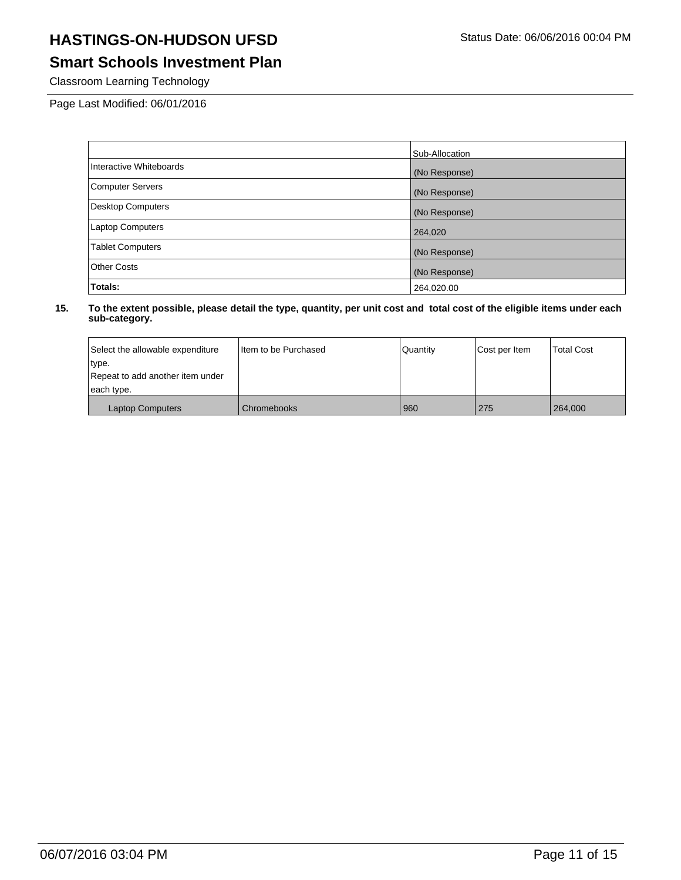# **Smart Schools Investment Plan**

Classroom Learning Technology

Page Last Modified: 06/01/2016

|                          | Sub-Allocation |
|--------------------------|----------------|
| Interactive Whiteboards  | (No Response)  |
| <b>Computer Servers</b>  | (No Response)  |
| <b>Desktop Computers</b> | (No Response)  |
| <b>Laptop Computers</b>  | 264,020        |
| <b>Tablet Computers</b>  | (No Response)  |
| <b>Other Costs</b>       | (No Response)  |
| Totals:                  | 264,020.00     |

| Select the allowable expenditure | I tem to be Purchased | Quantity | Cost per Item | <b>Total Cost</b> |
|----------------------------------|-----------------------|----------|---------------|-------------------|
| type.                            |                       |          |               |                   |
| Repeat to add another item under |                       |          |               |                   |
| each type.                       |                       |          |               |                   |
| <b>Laptop Computers</b>          | l Chromebooks         | 960      | 275           | 264,000           |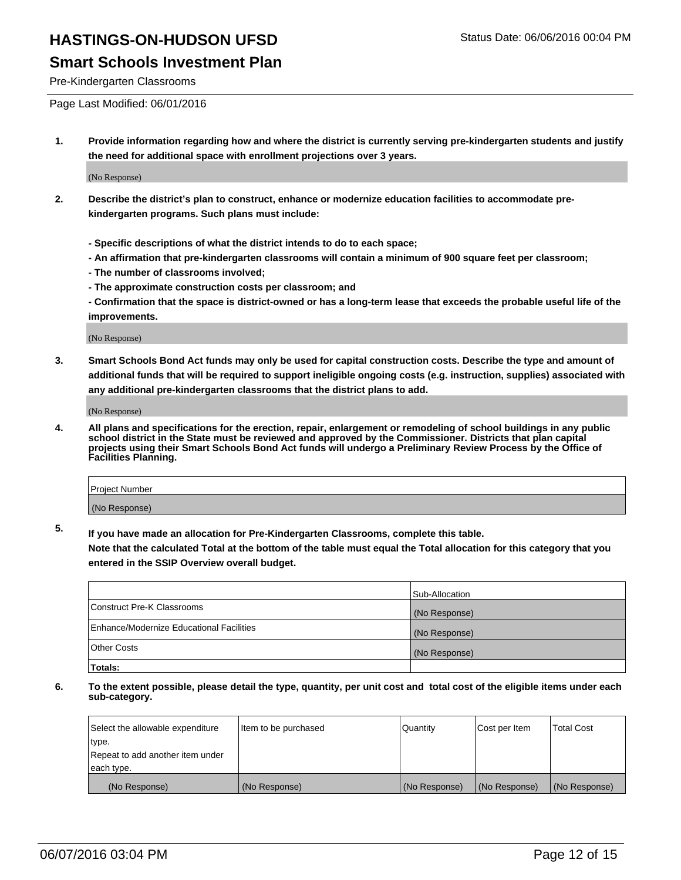### **Smart Schools Investment Plan**

Pre-Kindergarten Classrooms

Page Last Modified: 06/01/2016

**1. Provide information regarding how and where the district is currently serving pre-kindergarten students and justify the need for additional space with enrollment projections over 3 years.**

(No Response)

- **2. Describe the district's plan to construct, enhance or modernize education facilities to accommodate prekindergarten programs. Such plans must include:**
	- **Specific descriptions of what the district intends to do to each space;**
	- **An affirmation that pre-kindergarten classrooms will contain a minimum of 900 square feet per classroom;**
	- **The number of classrooms involved;**
	- **The approximate construction costs per classroom; and**
	- **Confirmation that the space is district-owned or has a long-term lease that exceeds the probable useful life of the improvements.**

(No Response)

**3. Smart Schools Bond Act funds may only be used for capital construction costs. Describe the type and amount of additional funds that will be required to support ineligible ongoing costs (e.g. instruction, supplies) associated with any additional pre-kindergarten classrooms that the district plans to add.**

(No Response)

**4. All plans and specifications for the erection, repair, enlargement or remodeling of school buildings in any public school district in the State must be reviewed and approved by the Commissioner. Districts that plan capital projects using their Smart Schools Bond Act funds will undergo a Preliminary Review Process by the Office of Facilities Planning.**

| Project Number |  |
|----------------|--|
| (No Response)  |  |

**5. If you have made an allocation for Pre-Kindergarten Classrooms, complete this table.**

**Note that the calculated Total at the bottom of the table must equal the Total allocation for this category that you entered in the SSIP Overview overall budget.**

|                                          | Sub-Allocation |
|------------------------------------------|----------------|
| Construct Pre-K Classrooms               | (No Response)  |
| Enhance/Modernize Educational Facilities | (No Response)  |
| Other Costs                              | (No Response)  |
| Totals:                                  |                |

| Select the allowable expenditure | Item to be purchased | Quantity      | Cost per Item | <b>Total Cost</b> |
|----------------------------------|----------------------|---------------|---------------|-------------------|
| type.                            |                      |               |               |                   |
| Repeat to add another item under |                      |               |               |                   |
| each type.                       |                      |               |               |                   |
| (No Response)                    | (No Response)        | (No Response) | (No Response) | (No Response)     |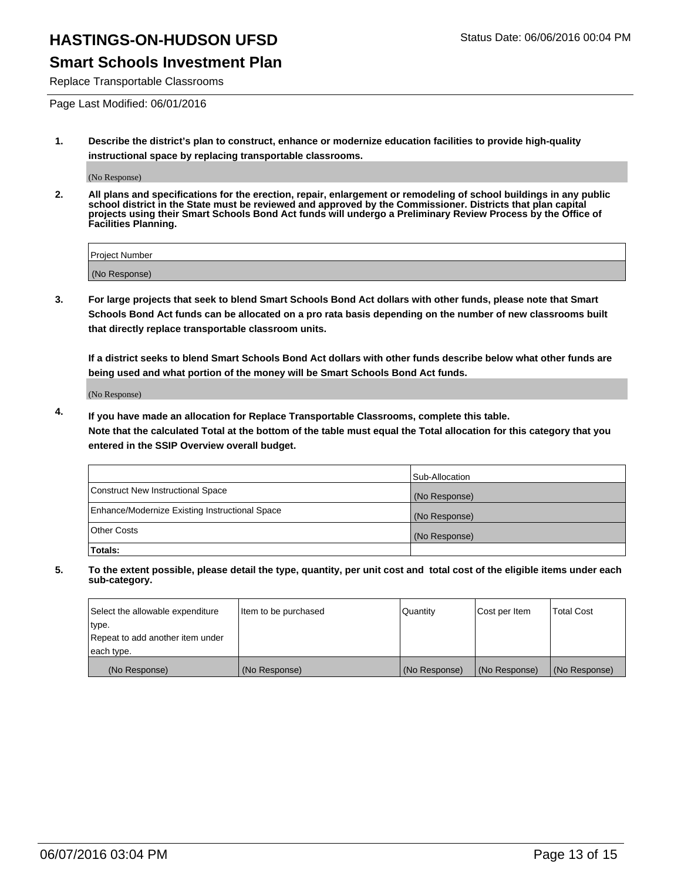#### **Smart Schools Investment Plan**

Replace Transportable Classrooms

Page Last Modified: 06/01/2016

**1. Describe the district's plan to construct, enhance or modernize education facilities to provide high-quality instructional space by replacing transportable classrooms.**

(No Response)

**2. All plans and specifications for the erection, repair, enlargement or remodeling of school buildings in any public school district in the State must be reviewed and approved by the Commissioner. Districts that plan capital projects using their Smart Schools Bond Act funds will undergo a Preliminary Review Process by the Office of Facilities Planning.**

| <b>Project Number</b> |  |
|-----------------------|--|
| (No Response)         |  |

**3. For large projects that seek to blend Smart Schools Bond Act dollars with other funds, please note that Smart Schools Bond Act funds can be allocated on a pro rata basis depending on the number of new classrooms built that directly replace transportable classroom units.**

**If a district seeks to blend Smart Schools Bond Act dollars with other funds describe below what other funds are being used and what portion of the money will be Smart Schools Bond Act funds.**

(No Response)

**4. If you have made an allocation for Replace Transportable Classrooms, complete this table. Note that the calculated Total at the bottom of the table must equal the Total allocation for this category that you entered in the SSIP Overview overall budget.**

|                                                | Sub-Allocation |
|------------------------------------------------|----------------|
| Construct New Instructional Space              | (No Response)  |
| Enhance/Modernize Existing Instructional Space | (No Response)  |
| <b>Other Costs</b>                             | (No Response)  |
| Totals:                                        |                |

| Select the allowable expenditure | Item to be purchased | <b>Quantity</b> | Cost per Item | <b>Total Cost</b> |
|----------------------------------|----------------------|-----------------|---------------|-------------------|
| type.                            |                      |                 |               |                   |
| Repeat to add another item under |                      |                 |               |                   |
| each type.                       |                      |                 |               |                   |
| (No Response)                    | (No Response)        | (No Response)   | (No Response) | (No Response)     |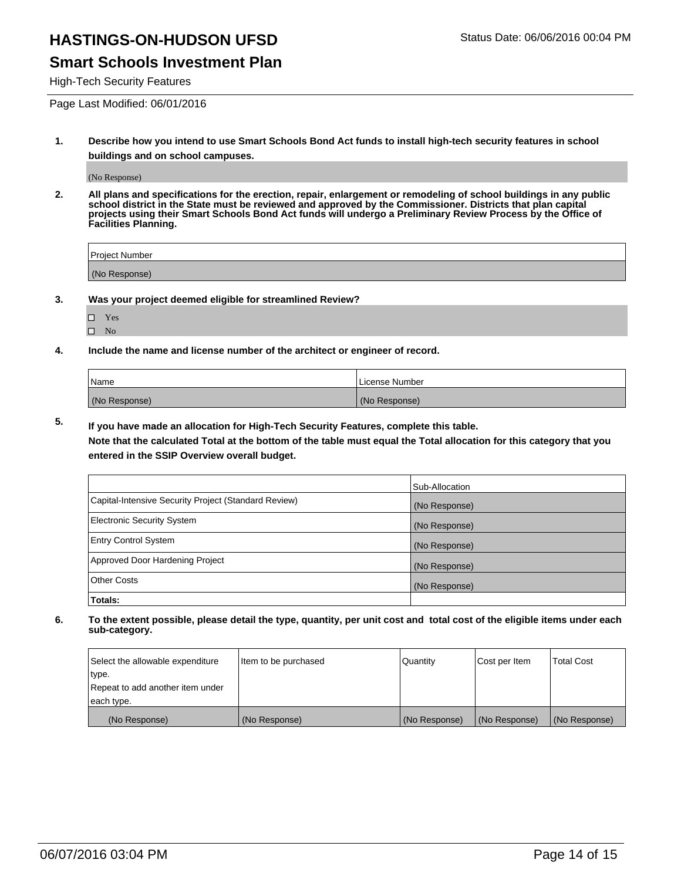#### **Smart Schools Investment Plan**

High-Tech Security Features

Page Last Modified: 06/01/2016

**1. Describe how you intend to use Smart Schools Bond Act funds to install high-tech security features in school buildings and on school campuses.**

(No Response)

**2. All plans and specifications for the erection, repair, enlargement or remodeling of school buildings in any public school district in the State must be reviewed and approved by the Commissioner. Districts that plan capital projects using their Smart Schools Bond Act funds will undergo a Preliminary Review Process by the Office of Facilities Planning.** 

| Project Number |  |
|----------------|--|
| (No Response)  |  |

**3. Was your project deemed eligible for streamlined Review?**

| П | Yes |  |
|---|-----|--|
| П | Nο  |  |

**4. Include the name and license number of the architect or engineer of record.**

| Name          | License Number |
|---------------|----------------|
| (No Response) | (No Response)  |

**5. If you have made an allocation for High-Tech Security Features, complete this table.**

**Note that the calculated Total at the bottom of the table must equal the Total allocation for this category that you entered in the SSIP Overview overall budget.**

|                                                      | Sub-Allocation |
|------------------------------------------------------|----------------|
| Capital-Intensive Security Project (Standard Review) | (No Response)  |
| <b>Electronic Security System</b>                    | (No Response)  |
| <b>Entry Control System</b>                          | (No Response)  |
| Approved Door Hardening Project                      | (No Response)  |
| <b>Other Costs</b>                                   | (No Response)  |
| Totals:                                              |                |

| Select the allowable expenditure | Item to be purchased | Quantity      | Cost per Item | <b>Total Cost</b> |
|----------------------------------|----------------------|---------------|---------------|-------------------|
| type.                            |                      |               |               |                   |
| Repeat to add another item under |                      |               |               |                   |
| each type.                       |                      |               |               |                   |
| (No Response)                    | (No Response)        | (No Response) | (No Response) | (No Response)     |